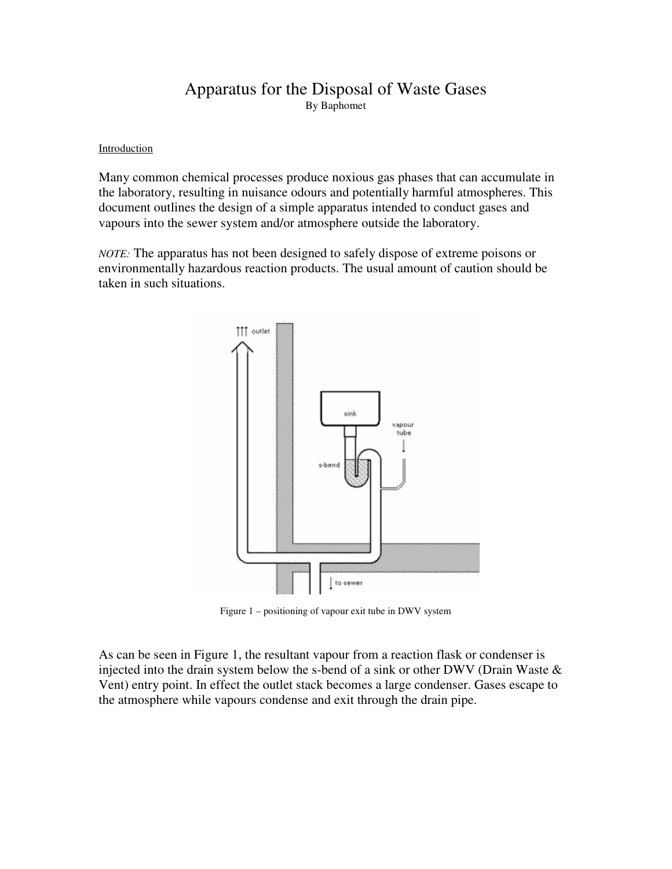## Apparatus for the Disposal of Waste Gases By Baphomet

Introduction

Many common chemical processes produce noxious gas phases that can accumulate in the laboratory, resulting in nuisance odours and potentially harmful atmospheres. This document outlines the design of a simple apparatus intended to conduct gases and vapours into the sewer system and/or atmosphere outside the laboratory.

*NOTE:* The apparatus has not been designed to safely dispose of extreme poisons or environmentally hazardous reaction products. The usual amount of caution should be taken in such situations.



Figure 1 – positioning of vapour exit tube in DWV system

As can be seen in Figure 1, the resultant vapour from a reaction flask or condenser is injected into the drain system below the s-bend of a sink or other DWV (Drain Waste & Vent) entry point. In effect the outlet stack becomes a large condenser. Gases escape to the atmosphere while vapours condense and exit through the drain pipe.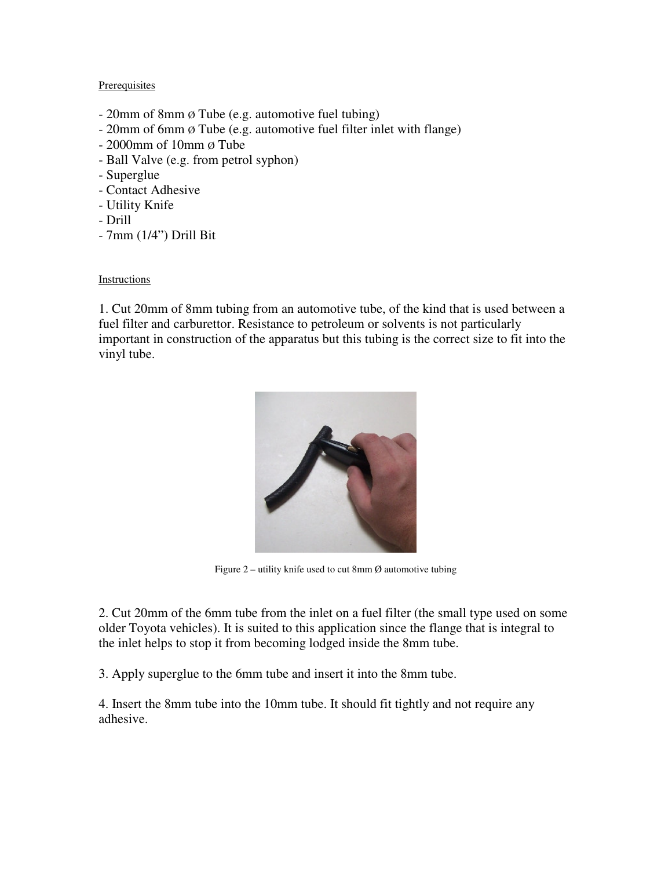## **Prerequisites**

- 20mm of 8mm Ø Tube (e.g. automotive fuel tubing)
- 20mm of 6mm Ø Tube (e.g. automotive fuel filter inlet with flange)
- 2000mm of 10mm Ø Tube
- Ball Valve (e.g. from petrol syphon)
- Superglue
- Contact Adhesive
- Utility Knife
- Drill
- 7mm (1/4") Drill Bit

## Instructions

1. Cut 20mm of 8mm tubing from an automotive tube, of the kind that is used between a fuel filter and carburettor. Resistance to petroleum or solvents is not particularly important in construction of the apparatus but this tubing is the correct size to fit into the vinyl tube.



Figure 2 – utility knife used to cut 8mm  $\emptyset$  automotive tubing

2. Cut 20mm of the 6mm tube from the inlet on a fuel filter (the small type used on some older Toyota vehicles). It is suited to this application since the flange that is integral to the inlet helps to stop it from becoming lodged inside the 8mm tube.

3. Apply superglue to the 6mm tube and insert it into the 8mm tube.

4. Insert the 8mm tube into the 10mm tube. It should fit tightly and not require any adhesive.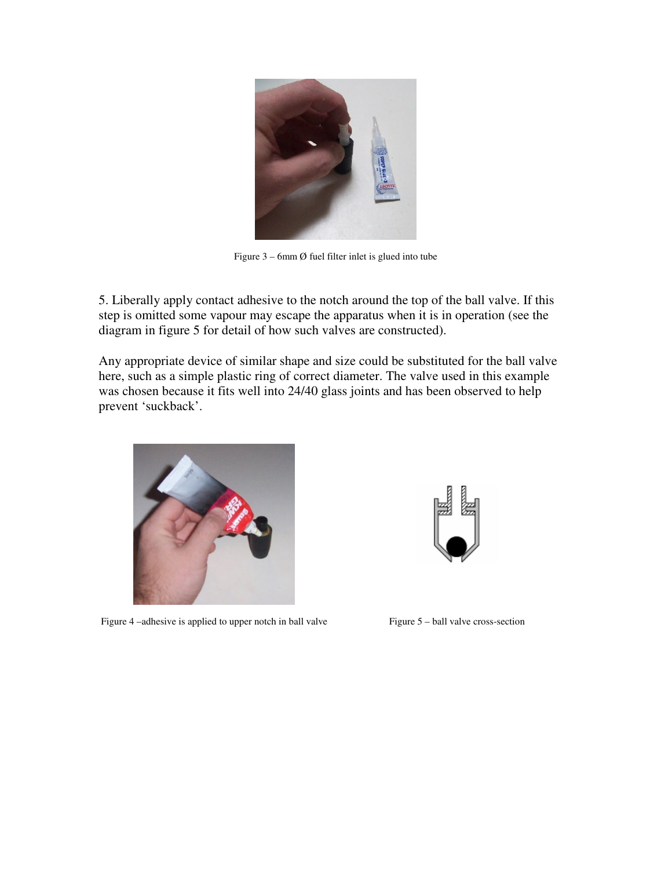

Figure  $3 - 6$ mm  $\emptyset$  fuel filter inlet is glued into tube

5. Liberally apply contact adhesive to the notch around the top of the ball valve. If this step is omitted some vapour may escape the apparatus when it is in operation (see the diagram in figure 5 for detail of how such valves are constructed).

Any appropriate device of similar shape and size could be substituted for the ball valve here, such as a simple plastic ring of correct diameter. The valve used in this example was chosen because it fits well into 24/40 glass joints and has been observed to help prevent 'suckback'.



Figure 4-adhesive is applied to upper notch in ball valve Figure 5-ball valve cross-section